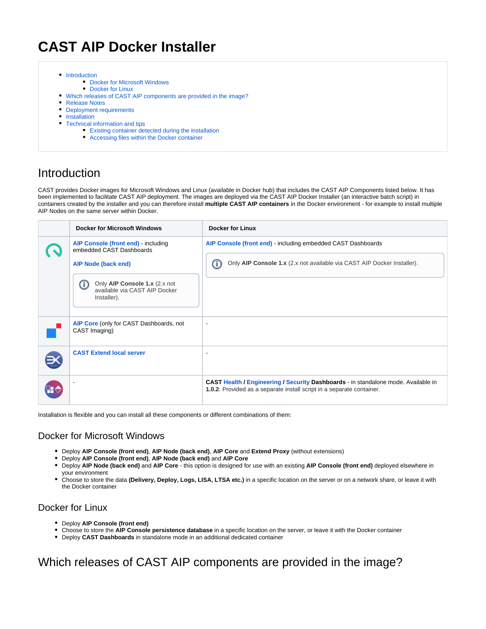# **CAST AIP Docker Installer**

- [Introduction](#page-0-0)
	- [Docker for Microsoft Windows](#page-0-1)
	- [Docker for Linux](#page-0-2)
- [Which releases of CAST AIP components are provided in the image?](#page-0-3)
- [Release Notes](#page-1-0)
- [Deployment requirements](#page-1-1)
- [Installation](#page-2-0)
- [Technical information and tips](#page-3-0)
	- [Existing container detected during the installation](#page-3-1)
	- [Accessing files within the Docker container](#page-3-2)

### <span id="page-0-0"></span>Introduction

CAST provides Docker images for Microsoft Windows and Linux (available in Docker hub) that includes the CAST AIP Components listed below. It has been implemented to facilitate CAST AIP deployment. The images are deployed via the CAST AIP Docker Installer (an interactive batch script) in containers created by the installer and you can therefore install **multiple CAST AIP containers** in the Docker environment - for example to install multiple AIP Nodes on the same server within Docker.

| <b>Docker for Microsoft Windows</b>                                                                                                                                          | <b>Docker for Linux</b>                                                                                                                                            |
|------------------------------------------------------------------------------------------------------------------------------------------------------------------------------|--------------------------------------------------------------------------------------------------------------------------------------------------------------------|
| AIP Console (front end) - including<br>embedded CAST Dashboards<br>AIP Node (back end)<br>Only AIP Console 1.x (2.x not<br>O<br>available via CAST AIP Docker<br>Installer). | AIP Console (front end) - including embedded CAST Dashboards<br>Only AIP Console 1.x (2.x not available via CAST AIP Docker Installer).<br>Œ                       |
| AIP Core (only for CAST Dashboards, not<br>CAST Imaging)                                                                                                                     |                                                                                                                                                                    |
| <b>CAST Extend local server</b>                                                                                                                                              | $\blacksquare$                                                                                                                                                     |
|                                                                                                                                                                              | <b>CAST Health / Engineering / Security Dashboards - in standalone mode. Available in</b><br>1.0.2. Provided as a separate install script in a separate container. |

Installation is flexible and you can install all these components or different combinations of them:

#### <span id="page-0-1"></span>Docker for Microsoft Windows

- Deploy **AIP Console (front end)**, **AIP Node (back end)**, **AIP Core** and **Extend Proxy** (without extensions)
- Deploy **AIP Console (front end)**, **AIP Node (back end)** and **AIP Core**
- Deploy **AIP Node (back end)** and **AIP Core** this option is designed for use with an existing **AIP Console (front end)** deployed elsewhere in your environment
- Choose to store the data **(Delivery, Deploy, Logs, LISA, LTSA etc.)** in a specific location on the server or on a network share, or leave it with the Docker container

#### <span id="page-0-2"></span>Docker for Linux

- Deploy **AIP Console (front end)**
- Choose to store the **AIP Console persistence database** in a specific location on the server, or leave it with the Docker container
- Deploy **CAST Dashboards** in standalone mode in an additional dedicated container

## <span id="page-0-3"></span>Which releases of CAST AIP components are provided in the image?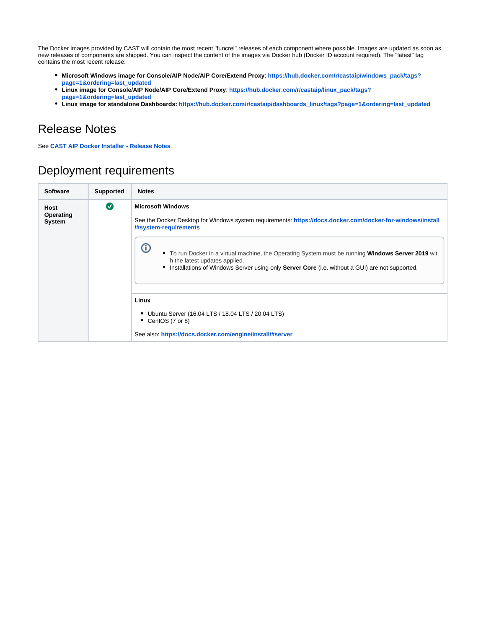The Docker images provided by CAST will contain the most recent "funcrel" releases of each component where possible. Images are updated as soon as new releases of components are shipped. You can inspect the content of the images via Docker hub (Docker ID account required). The "latest" tag contains the most recent release:

- **Microsoft Windows image for Console/AIP Node/AIP Core/Extend Proxy**: **[https://hub.docker.com/r/castaip/windows\\_pack/tags?](https://hub.docker.com/r/castaip/windows_pack/tags?page=1&ordering=last_updated) [page=1&ordering=last\\_updated](https://hub.docker.com/r/castaip/windows_pack/tags?page=1&ordering=last_updated)**
- **Linux image for Console/AIP Node/AIP Core/Extend Proxy**: **[https://hub.docker.com/r/castaip/linux\\_pack/tags?](https://hub.docker.com/r/castaip/linux_pack/tags?page=1&ordering=last_updated) [page=1&ordering=last\\_updated](https://hub.docker.com/r/castaip/linux_pack/tags?page=1&ordering=last_updated)**
- **Linux image for standalone Dashboards: [https://hub.docker.com/r/castaip/dashboards\\_linux/tags?page=1&ordering=last\\_updated](https://hub.docker.com/r/castaip/dashboards_linux/tags?page=1&ordering=last_updated)**

## <span id="page-1-0"></span>Release Notes

See **[CAST AIP Docker Installer - Release Notes](https://doc.castsoftware.com/display/DOCCOM/CAST+AIP+Docker+Installer+-+Release+Notes)**.

## <span id="page-1-1"></span>Deployment requirements

| <b>Software</b>             | Supported             | <b>Notes</b>                                                                                                                                                                                                                                                                                                                                                                                                    |
|-----------------------------|-----------------------|-----------------------------------------------------------------------------------------------------------------------------------------------------------------------------------------------------------------------------------------------------------------------------------------------------------------------------------------------------------------------------------------------------------------|
| Host<br>Operating<br>System | $\boldsymbol{\sigma}$ | <b>Microsoft Windows</b><br>See the Docker Desktop for Windows system requirements: https://docs.docker.com/docker-for-windows/install<br>/#system-requirements<br>ወ<br>• To run Docker in a virtual machine, the Operating System must be running Windows Server 2019 wit<br>h the latest updates applied.<br>• Installations of Windows Server using only Server Core (i.e. without a GUI) are not supported. |
|                             |                       | Linux<br>Ubuntu Server (16.04 LTS / 18.04 LTS / 20.04 LTS)<br>$\bullet$ CentOS (7 or 8)<br>See also: https://docs.docker.com/engine/install/#server                                                                                                                                                                                                                                                             |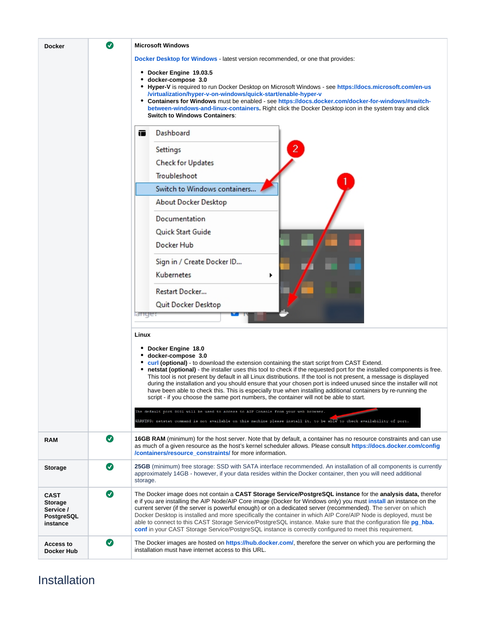| <b>Docker</b>                                                        | Ø         | <b>Microsoft Windows</b><br>Docker Desktop for Windows - latest version recommended, or one that provides:<br>• Docker Engine 19.03.5<br>docker-compose 3.0<br>• Hyper-V is required to run Docker Desktop on Microsoft Windows - see https://docs.microsoft.com/en-us<br>/virtualization/hyper-v-on-windows/quick-start/enable-hyper-v<br>• Containers for Windows must be enabled - see https://docs.docker.com/docker-for-windows/#switch-<br>between-windows-and-linux-containers. Right click the Docker Desktop icon in the system tray and click<br><b>Switch to Windows Containers:</b><br>Dashboard<br>œ<br>$\overline{c}$<br>Settings<br><b>Check for Updates</b><br>Troubleshoot<br>Switch to Windows containers<br>About Docker Desktop<br>Documentation                                                                                                                                                                             |
|----------------------------------------------------------------------|-----------|--------------------------------------------------------------------------------------------------------------------------------------------------------------------------------------------------------------------------------------------------------------------------------------------------------------------------------------------------------------------------------------------------------------------------------------------------------------------------------------------------------------------------------------------------------------------------------------------------------------------------------------------------------------------------------------------------------------------------------------------------------------------------------------------------------------------------------------------------------------------------------------------------------------------------------------------------|
|                                                                      |           | Quick Start Guide<br>Docker Hub<br>Sign in / Create Docker ID<br>Kubernetes<br>Restart Docker<br>Quit Docker Desktop<br>ange.                                                                                                                                                                                                                                                                                                                                                                                                                                                                                                                                                                                                                                                                                                                                                                                                                    |
|                                                                      |           | Linux<br>• Docker Engine 18.0<br>docker-compose 3.0<br>curl (optional) - to download the extension containing the start script from CAST Extend.<br>netstat (optional) - the installer uses this tool to check if the requested port for the installed components is free.<br>This tool is not present by default in all Linux distributions. If the tool is not present, a message is displayed<br>during the installation and you should ensure that your chosen port is indeed unused since the installer will not<br>have been able to check this. This is especially true when installing additional containers by re-running the<br>script - if you choose the same port numbers, the container will not be able to start.<br>The default port 8081 will be used to access to AIP Console from your web browser.<br>WARNING: netstat command is not available on this machine please install it, to be able to check availability of port. |
| <b>RAM</b>                                                           | $\bullet$ | 16GB RAM (minimum) for the host server. Note that by default, a container has no resource constraints and can use<br>as much of a given resource as the host's kernel scheduler allows. Please consult https://docs.docker.com/config<br>/containers/resource constraints/ for more information.                                                                                                                                                                                                                                                                                                                                                                                                                                                                                                                                                                                                                                                 |
| <b>Storage</b>                                                       | $\bullet$ | 25GB (minimum) free storage: SSD with SATA interface recommended. An installation of all components is currently<br>approximately 14GB - however, if your data resides within the Docker container, then you will need additional<br>storage.                                                                                                                                                                                                                                                                                                                                                                                                                                                                                                                                                                                                                                                                                                    |
| <b>CAST</b><br><b>Storage</b><br>Service /<br>PostgreSQL<br>instance | $\bullet$ | The Docker image does not contain a CAST Storage Service/PostgreSQL instance for the analysis data, therefor<br>e if you are installing the AIP Node/AIP Core image (Docker for Windows only) you must <i>install</i> an instance on the<br>current server (if the server is powerful enough) or on a dedicated server (recommended). The server on which<br>Docker Desktop is installed and more specifically the container in which AIP Core/AIP Node is deployed, must be<br>able to connect to this CAST Storage Service/PostgreSQL instance. Make sure that the configuration file pg_hba.<br>conf in your CAST Storage Service/PostgreSQL instance is correctly configured to meet this requirement.                                                                                                                                                                                                                                       |
| <b>Access to</b><br>Docker Hub                                       | $\bullet$ | The Docker images are hosted on https://hub.docker.com/, therefore the server on which you are performing the<br>installation must have internet access to this URL.                                                                                                                                                                                                                                                                                                                                                                                                                                                                                                                                                                                                                                                                                                                                                                             |

# <span id="page-2-0"></span>Installation